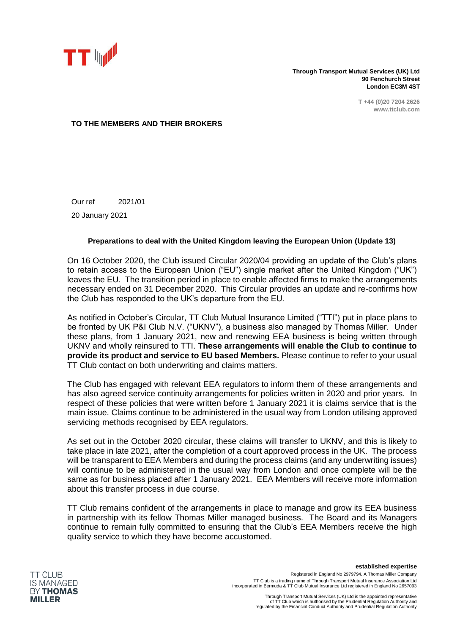

**Through Transport Mutual Services (UK) Ltd 90 Fenchurch Street London EC3M 4ST**

> **T +44 (0)20 7204 2626 www.ttclub.com**

## **TO THE MEMBERS AND THEIR BROKERS**

Our ref 2021/01 20 January 2021

## **Preparations to deal with the United Kingdom leaving the European Union (Update 13)**

On 16 October 2020, the Club issued Circular 2020/04 providing an update of the Club's plans to retain access to the European Union ("EU") single market after the United Kingdom ("UK") leaves the EU. The transition period in place to enable affected firms to make the arrangements necessary ended on 31 December 2020. This Circular provides an update and re-confirms how the Club has responded to the UK's departure from the EU.

As notified in October's Circular, TT Club Mutual Insurance Limited ("TTI") put in place plans to be fronted by UK P&I Club N.V. ("UKNV"), a business also managed by Thomas Miller. Under these plans, from 1 January 2021, new and renewing EEA business is being written through UKNV and wholly reinsured to TTI. **These arrangements will enable the Club to continue to provide its product and service to EU based Members.** Please continue to refer to your usual TT Club contact on both underwriting and claims matters.

The Club has engaged with relevant EEA regulators to inform them of these arrangements and has also agreed service continuity arrangements for policies written in 2020 and prior years. In respect of these policies that were written before 1 January 2021 it is claims service that is the main issue. Claims continue to be administered in the usual way from London utilising approved servicing methods recognised by EEA regulators.

As set out in the October 2020 circular, these claims will transfer to UKNV, and this is likely to take place in late 2021, after the completion of a court approved process in the UK. The process will be transparent to EEA Members and during the process claims (and any underwriting issues) will continue to be administered in the usual way from London and once complete will be the same as for business placed after 1 January 2021. EEA Members will receive more information about this transfer process in due course.

TT Club remains confident of the arrangements in place to manage and grow its EEA business in partnership with its fellow Thomas Miller managed business. The Board and its Managers continue to remain fully committed to ensuring that the Club's EEA Members receive the high quality service to which they have become accustomed.